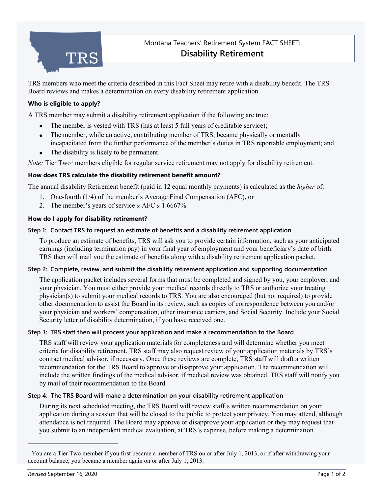

TRS members who meet the criteria described in this Fact Sheet may retire with a disability benefit. The TRS Board reviews and makes a determination on every disability retirement application.

## **Who is eligible to apply?**

A TRS member may submit a disability retirement application if the following are true:

- The member is vested with TRS (has at least 5 full years of creditable service);
- The member, while an active, contributing member of TRS, became physically or mentally incapacitated from the further performance of the member's duties in TRS reportable employment; and
- The disability is likely to be permanent.

*Note:* Tier Two<sup>[1](#page-0-0)</sup> members eligible for regular service retirement may not apply for disability retirement.

### **How does TRS calculate the disability retirement benefit amount?**

The annual disability Retirement benefit (paid in 12 equal monthly payments) is calculated as the *higher* of:

- 1. One-fourth (1/4) of the member's Average Final Compensation (AFC), or
- 2. The member's years of service  $\times$  AFC  $\times$  1.6667%

## **How do I apply for disability retirement?**

### **Step 1: Contact TRS to request an estimate of benefits and a disability retirement application**

To produce an estimate of benefits, TRS will ask you to provide certain information, such as your anticipated earnings (including termination pay) in your final year of employment and your beneficiary's date of birth. TRS then will mail you the estimate of benefits along with a disability retirement application packet.

### **Step 2: Complete, review, and submit the disability retirement application and supporting documentation**

The application packet includes several forms that must be completed and signed by you, your employer, and your physician. You must either provide your medical records directly to TRS or authorize your treating physician(s) to submit your medical records to TRS. You are also encouraged (but not required) to provide other documentation to assist the Board in its review, such as copies of correspondence between you and/or your physician and workers' compensation, other insurance carriers, and Social Security. Include your Social Security letter of disability determination, if you have received one.

### **Step 3: TRS staff then will process your application and make a recommendation to the Board**

TRS staff will review your application materials for completeness and will determine whether you meet criteria for disability retirement. TRS staff may also request review of your application materials by TRS's contract medical advisor, if necessary. Once these reviews are complete, TRS staff will draft a written recommendation for the TRS Board to approve or disapprove your application. The recommendation will include the written findings of the medical advisor, if medical review was obtained. TRS staff will notify you by mail of their recommendation to the Board.

### **Step 4: The TRS Board will make a determination on your disability retirement application**

During its next scheduled meeting, the TRS Board will review staff's written recommendation on your application during a session that will be closed to the public to protect your privacy. You may attend, although attendance is not required. The Board may approve or disapprove your application or they may request that you submit to an independent medical evaluation, at TRS's expense, before making a determination.

<span id="page-0-0"></span><sup>&</sup>lt;sup>1</sup> You are a Tier Two member if you first became a member of TRS on or after July 1, 2013, or if after withdrawing your account balance, you became a member again on or after July 1, 2013.